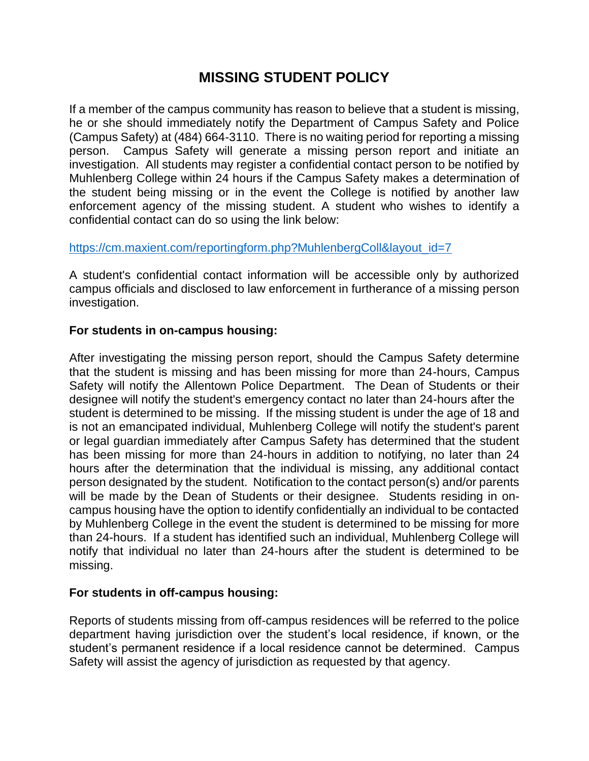## **MISSING STUDENT POLICY**

If a member of the campus community has reason to believe that a student is missing, he or she should immediately notify the Department of Campus Safety and Police (Campus Safety) at (484) 664-3110. There is no waiting period for reporting a missing person. Campus Safety will generate a missing person report and initiate an investigation. All students may register a confidential contact person to be notified by Muhlenberg College within 24 hours if the Campus Safety makes a determination of the student being missing or in the event the College is notified by another law enforcement agency of the missing student. A student who wishes to identify a confidential contact can do so using the link below:

## [https://cm.maxient.com/reportingform.php?MuhlenbergColl&layout\\_id=7](https://cm.maxient.com/reportingform.php?MuhlenbergColl&layout_id=7)

A student's confidential contact information will be accessible only by authorized campus officials and disclosed to law enforcement in furtherance of a missing person investigation.

## **For students in on-campus housing:**

After investigating the missing person report, should the Campus Safety determine that the student is missing and has been missing for more than 24-hours, Campus Safety will notify the Allentown Police Department. The Dean of Students or their designee will notify the student's emergency contact no later than 24-hours after the student is determined to be missing. If the missing student is under the age of 18 and is not an emancipated individual, Muhlenberg College will notify the student's parent or legal guardian immediately after Campus Safety has determined that the student has been missing for more than 24-hours in addition to notifying, no later than 24 hours after the determination that the individual is missing, any additional contact person designated by the student. Notification to the contact person(s) and/or parents will be made by the Dean of Students or their designee. Students residing in oncampus housing have the option to identify confidentially an individual to be contacted by Muhlenberg College in the event the student is determined to be missing for more than 24-hours. If a student has identified such an individual, Muhlenberg College will notify that individual no later than 24-hours after the student is determined to be missing.

## **For students in off-campus housing:**

Reports of students missing from off-campus residences will be referred to the police department having jurisdiction over the student's local residence, if known, or the student's permanent residence if a local residence cannot be determined. Campus Safety will assist the agency of jurisdiction as requested by that agency.